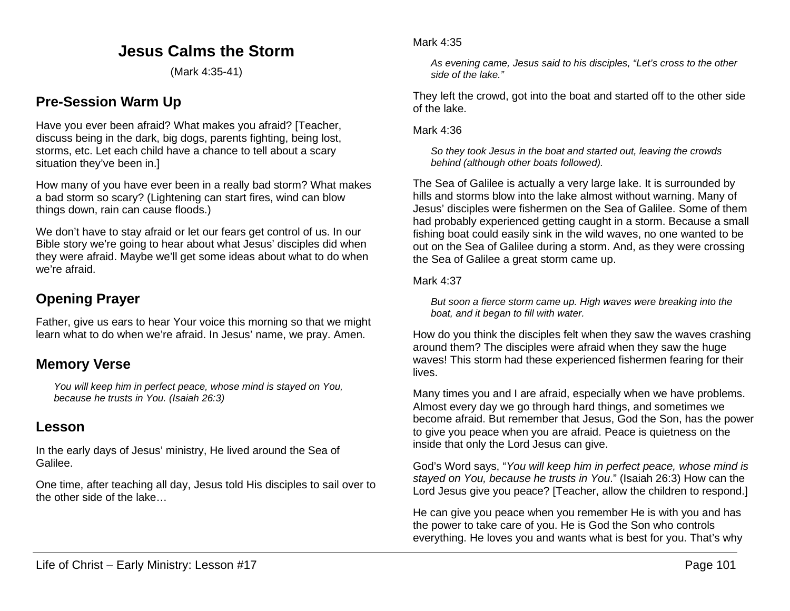# **Jesus Calms the Storm**

(Mark 4:35-41)

# **Pre-Session Warm Up**

Have you ever been afraid? What makes you afraid? [Teacher, discuss being in the dark, big dogs, parents fighting, being lost, storms, etc. Let each child have a chance to tell about a scary situation they've been in.]

How many of you have ever been in a really bad storm? What makes a bad storm so scary? (Lightening can start fires, wind can blow things down, rain can cause floods.)

We don't have to stay afraid or let our fears get control of us. In our Bible story we're going to hear about what Jesus' disciples did when they were afraid. Maybe we'll get some ideas about what to do when we're afraid.

# **Opening Prayer**

Father, give us ears to hear Your voice this morning so that we might learn what to do when we're afraid. In Jesus' name, we pray. Amen.

## **Memory Verse**

*You will keep him in perfect peace, whose mind is stayed on You, because he trusts in You. (Isaiah 26:3)*

### **Lesson**

In the early days of Jesus' ministry, He lived around the Sea of Galilee.

One time, after teaching all day, Jesus told His disciples to sail over to the other side of the lake…

*As evening came, Jesus said to his disciples, "Let's cross to the other side of the lake."*

They left the crowd, got into the boat and started off to the other side of the lake.

Mark 4:36

*So they took Jesus in the boat and started out, leaving the crowds behind (although other boats followed).*

The Sea of Galilee is actually a very large lake. It is surrounded by hills and storms blow into the lake almost without warning. Many of Jesus' disciples were fishermen on the Sea of Galilee. Some of them had probably experienced getting caught in a storm. Because a small fishing boat could easily sink in the wild waves, no one wanted to be out on the Sea of Galilee during a storm. And, as they were crossing the Sea of Galilee a great storm came up.

#### Mark 4:37

*But soon a fierce storm came up. High waves were breaking into the boat, and it began to fill with water.*

How do you think the disciples felt when they saw the waves crashing around them? The disciples were afraid when they saw the huge waves! This storm had these experienced fishermen fearing for their lives.

Many times you and I are afraid, especially when we have problems. Almost every day we go through hard things, and sometimes we become afraid. But remember that Jesus, God the Son, has the power to give you peace when you are afraid. Peace is quietness on the inside that only the Lord Jesus can give.

God's Word says, "*You will keep him in perfect peace, whose mind is stayed on You, because he trusts in You*." (Isaiah 26:3) How can the Lord Jesus give you peace? [Teacher, allow the children to respond.]

He can give you peace when you remember He is with you and has the power to take care of you. He is God the Son who controls everything. He loves you and wants what is best for you. That's why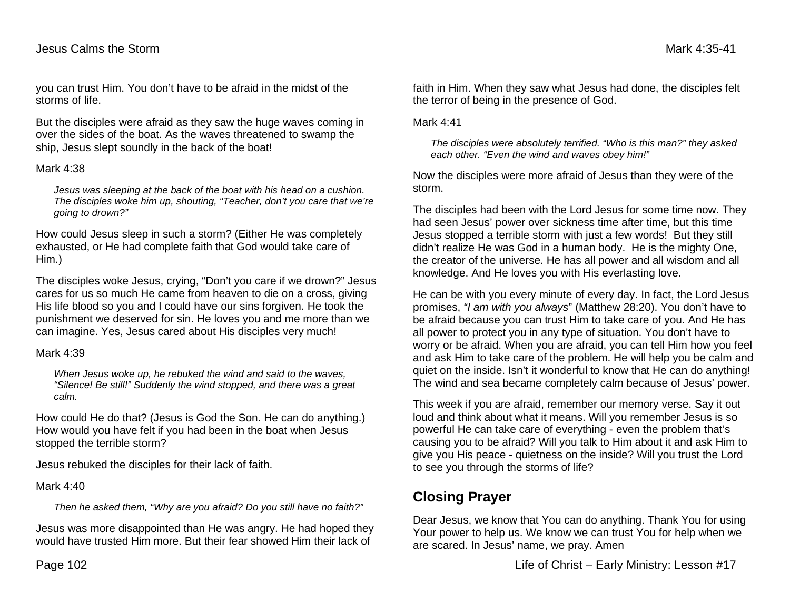you can trust Him. You don't have to be afraid in the midst of the storms of life.

But the disciples were afraid as they saw the huge waves coming in over the sides of the boat. As the waves threatened to swamp the ship, Jesus slept soundly in the back of the boat!

#### Mark 4:38

*Jesus was sleeping at the back of the boat with his head on a cushion. The disciples woke him up, shouting, "Teacher, don't you care that we're going to drown?"*

How could Jesus sleep in such a storm? (Either He was completely exhausted, or He had complete faith that God would take care of Him.)

The disciples woke Jesus, crying, "Don't you care if we drown?" Jesus cares for us so much He came from heaven to die on a cross, giving His life blood so you and I could have our sins forgiven. He took the punishment we deserved for sin. He loves you and me more than we can imagine. Yes, Jesus cared about His disciples very much!

#### Mark 4:39

*When Jesus woke up, he rebuked the wind and said to the waves, "Silence! Be still!" Suddenly the wind stopped, and there was a great calm.*

How could He do that? (Jesus is God the Son. He can do anything.) How would you have felt if you had been in the boat when Jesus stopped the terrible storm?

Jesus rebuked the disciples for their lack of faith.

#### Mark 4:40

*Then he asked them, "Why are you afraid? Do you still have no faith?"*

Jesus was more disappointed than He was angry. He had hoped they would have trusted Him more. But their fear showed Him their lack of

faith in Him. When they saw what Jesus had done, the disciples felt the terror of being in the presence of God.

Mark 4:41

*The disciples were absolutely terrified. "Who is this man?" they asked each other. "Even the wind and waves obey him!"*

Now the disciples were more afraid of Jesus than they were of the storm.

The disciples had been with the Lord Jesus for some time now. They had seen Jesus' power over sickness time after time, but this time Jesus stopped a terrible storm with just a few words! But they still didn't realize He was God in a human body. He is the mighty One, the creator of the universe. He has all power and all wisdom and all knowledge. And He loves you with His everlasting love.

He can be with you every minute of every day. In fact, the Lord Jesus promises, *"I am with you always*" (Matthew 28:20). You don't have to be afraid because you can trust Him to take care of you. And He has all power to protect you in any type of situation. You don't have to worry or be afraid. When you are afraid, you can tell Him how you feel and ask Him to take care of the problem. He will help you be calm and quiet on the inside. Isn't it wonderful to know that He can do anything! The wind and sea became completely calm because of Jesus' power.

This week if you are afraid, remember our memory verse. Say it out loud and think about what it means. Will you remember Jesus is so powerful He can take care of everything - even the problem that's causing you to be afraid? Will you talk to Him about it and ask Him to give you His peace - quietness on the inside? Will you trust the Lord to see you through the storms of life?

# **Closing Prayer**

Dear Jesus, we know that You can do anything. Thank You for using Your power to help us. We know we can trust You for help when we are scared. In Jesus' name, we pray. Amen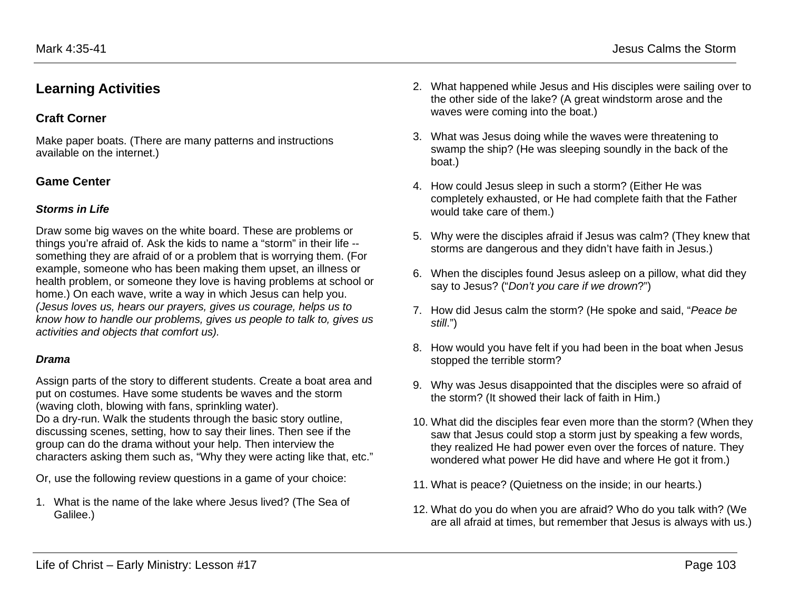# **Learning Activities**

### **Craft Corner**

Make paper boats. (There are many patterns and instructions available on the internet.)

### **Game Center**

#### *Storms in Life*

Draw some big waves on the white board. These are problems or things you're afraid of. Ask the kids to name a "storm" in their life - something they are afraid of or a problem that is worrying them. (For example, someone who has been making them upset, an illness or health problem, or someone they love is having problems at school or home.) On each wave, write a way in which Jesus can help you. *(Jesus loves us, hears our prayers, gives us courage, helps us to know how to handle our problems, gives us people to talk to, gives us activities and objects that comfort us).*

#### *Drama*

Assign parts of the story to different students. Create a boat area and put on costumes. Have some students be waves and the storm (waving cloth, blowing with fans, sprinkling water). Do a dry-run. Walk the students through the basic story outline, discussing scenes, setting, how to say their lines. Then see if the group can do the drama without your help. Then interview the characters asking them such as, "Why they were acting like that, etc."

Or, use the following review questions in a game of your choice:

1. What is the name of the lake where Jesus lived? (The Sea of Galilee.)

- 2. What happened while Jesus and His disciples were sailing over to the other side of the lake? (A great windstorm arose and the waves were coming into the boat.)
- 3. What was Jesus doing while the waves were threatening to swamp the ship? (He was sleeping soundly in the back of the boat.)
- 4. How could Jesus sleep in such a storm? (Either He was completely exhausted, or He had complete faith that the Father would take care of them.)
- 5. Why were the disciples afraid if Jesus was calm? (They knew that storms are dangerous and they didn't have faith in Jesus.)
- 6. When the disciples found Jesus asleep on a pillow, what did they say to Jesus? ("*Don't you care if we drown*?")
- 7. How did Jesus calm the storm? (He spoke and said, "*Peace be still*.")
- 8. How would you have felt if you had been in the boat when Jesus stopped the terrible storm?
- 9. Why was Jesus disappointed that the disciples were so afraid of the storm? (It showed their lack of faith in Him.)
- 10. What did the disciples fear even more than the storm? (When they saw that Jesus could stop a storm just by speaking a few words, they realized He had power even over the forces of nature. They wondered what power He did have and where He got it from.)
- 11. What is peace? (Quietness on the inside; in our hearts.)
- 12. What do you do when you are afraid? Who do you talk with? (We are all afraid at times, but remember that Jesus is always with us.)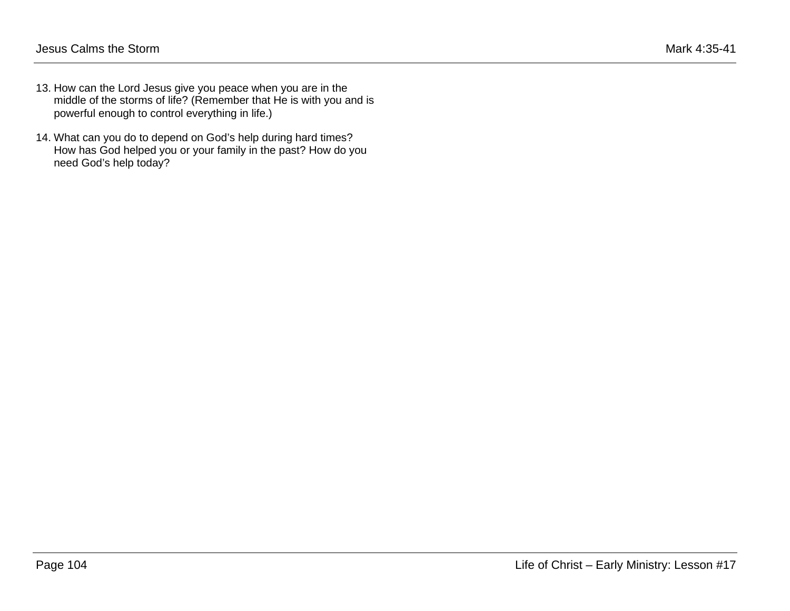- 13. How can the Lord Jesus give you peace when you are in the middle of the storms of life? (Remember that He is with you and is powerful enough to control everything in life.)
- 14. What can you do to depend on God's help during hard times? How has God helped you or your family in the past? How do you need God's help today?